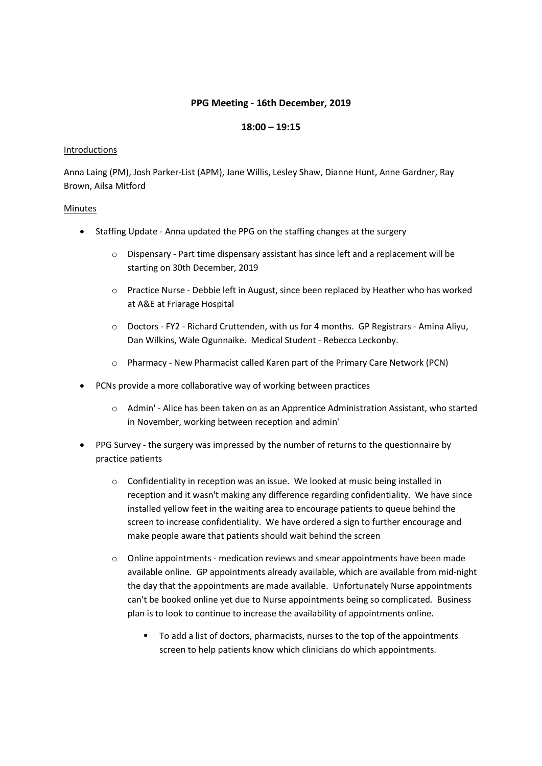## PPG Meeting - 16th December, 2019

## 18:00 – 19:15

## Introductions

Anna Laing (PM), Josh Parker-List (APM), Jane Willis, Lesley Shaw, Dianne Hunt, Anne Gardner, Ray Brown, Ailsa Mitford

## Minutes

- Staffing Update Anna updated the PPG on the staffing changes at the surgery
	- $\circ$  Dispensary Part time dispensary assistant has since left and a replacement will be starting on 30th December, 2019
	- o Practice Nurse Debbie left in August, since been replaced by Heather who has worked at A&E at Friarage Hospital
	- o Doctors FY2 Richard Cruttenden, with us for 4 months. GP Registrars Amina Aliyu, Dan Wilkins, Wale Ogunnaike. Medical Student - Rebecca Leckonby.
	- o Pharmacy New Pharmacist called Karen part of the Primary Care Network (PCN)
- PCNs provide a more collaborative way of working between practices
	- o Admin' Alice has been taken on as an Apprentice Administration Assistant, who started in November, working between reception and admin'
- PPG Survey the surgery was impressed by the number of returns to the questionnaire by practice patients
	- o Confidentiality in reception was an issue. We looked at music being installed in reception and it wasn't making any difference regarding confidentiality. We have since installed yellow feet in the waiting area to encourage patients to queue behind the screen to increase confidentiality. We have ordered a sign to further encourage and make people aware that patients should wait behind the screen
	- $\circ$  Online appointments medication reviews and smear appointments have been made available online. GP appointments already available, which are available from mid-night the day that the appointments are made available. Unfortunately Nurse appointments can't be booked online yet due to Nurse appointments being so complicated. Business plan is to look to continue to increase the availability of appointments online.
		- $\blacksquare$  To add a list of doctors, pharmacists, nurses to the top of the appointments screen to help patients know which clinicians do which appointments.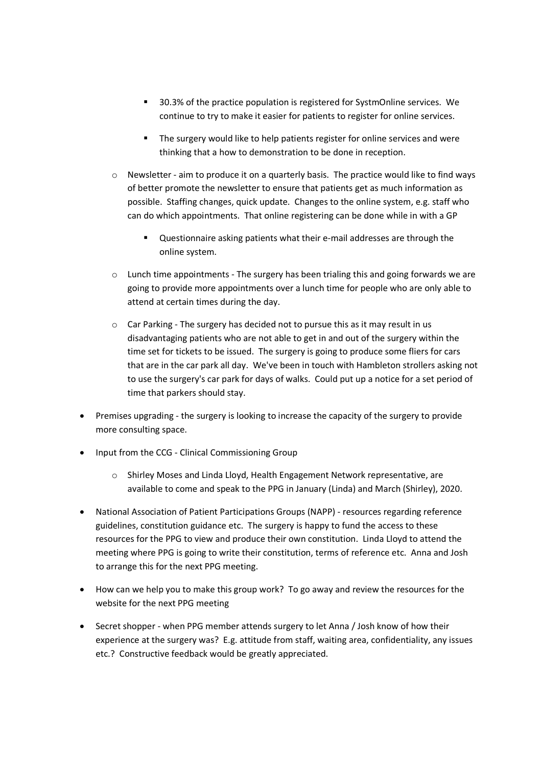- 30.3% of the practice population is registered for SystmOnline services. We continue to try to make it easier for patients to register for online services.
- **The surgery would like to help patients register for online services and were** thinking that a how to demonstration to be done in reception.
- $\circ$  Newsletter aim to produce it on a quarterly basis. The practice would like to find ways of better promote the newsletter to ensure that patients get as much information as possible. Staffing changes, quick update. Changes to the online system, e.g. staff who can do which appointments. That online registering can be done while in with a GP
	- Questionnaire asking patients what their e-mail addresses are through the online system.
- $\circ$  Lunch time appointments The surgery has been trialing this and going forwards we are going to provide more appointments over a lunch time for people who are only able to attend at certain times during the day.
- $\circ$  Car Parking The surgery has decided not to pursue this as it may result in us disadvantaging patients who are not able to get in and out of the surgery within the time set for tickets to be issued. The surgery is going to produce some fliers for cars that are in the car park all day. We've been in touch with Hambleton strollers asking not to use the surgery's car park for days of walks. Could put up a notice for a set period of time that parkers should stay.
- Premises upgrading the surgery is looking to increase the capacity of the surgery to provide more consulting space.
- Input from the CCG Clinical Commissioning Group
	- o Shirley Moses and Linda Lloyd, Health Engagement Network representative, are available to come and speak to the PPG in January (Linda) and March (Shirley), 2020.
- National Association of Patient Participations Groups (NAPP) resources regarding reference guidelines, constitution guidance etc. The surgery is happy to fund the access to these resources for the PPG to view and produce their own constitution. Linda Lloyd to attend the meeting where PPG is going to write their constitution, terms of reference etc. Anna and Josh to arrange this for the next PPG meeting.
- How can we help you to make this group work? To go away and review the resources for the website for the next PPG meeting
- Secret shopper when PPG member attends surgery to let Anna / Josh know of how their experience at the surgery was? E.g. attitude from staff, waiting area, confidentiality, any issues etc.? Constructive feedback would be greatly appreciated.